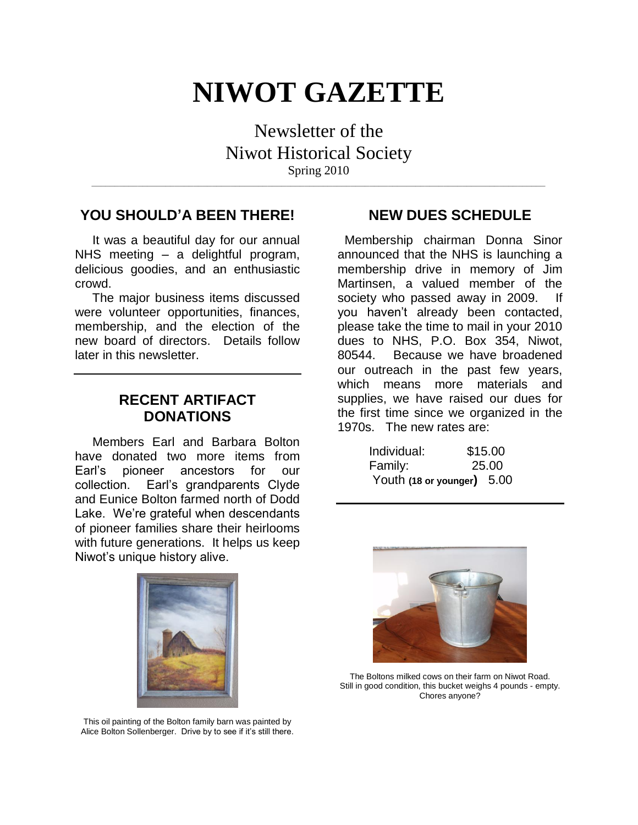# **NIWOT GAZETTE**

Newsletter of the Niwot Historical Society Spring 2010

**\_\_\_\_\_\_\_\_\_\_\_\_\_\_\_\_\_\_\_\_\_\_\_\_\_\_\_\_\_\_\_\_\_\_\_\_\_\_\_\_\_\_\_\_\_\_\_\_\_\_\_\_\_\_\_\_\_\_\_\_\_\_\_\_\_\_\_\_\_\_\_\_\_\_\_\_\_\_\_\_\_\_\_\_\_\_\_\_\_\_\_\_\_\_\_\_\_\_**

## **YOU SHOULD'A BEEN THERE!**

 It was a beautiful day for our annual NHS meeting – a delightful program, delicious goodies, and an enthusiastic crowd.

 The major business items discussed were volunteer opportunities, finances, membership, and the election of the new board of directors. Details follow later in this newsletter.

# **RECENT ARTIFACT DONATIONS**

 Members Earl and Barbara Bolton have donated two more items from Earl's pioneer ancestors for our collection. Earl's grandparents Clyde and Eunice Bolton farmed north of Dodd Lake. We're grateful when descendants of pioneer families share their heirlooms with future generations. It helps us keep Niwot's unique history alive.

### **NEW DUES SCHEDULE**

 Membership chairman Donna Sinor announced that the NHS is launching a membership drive in memory of Jim Martinsen, a valued member of the society who passed away in 2009. If you haven't already been contacted, please take the time to mail in your 2010 dues to NHS, P.O. Box 354, Niwot, 80544. Because we have broadened our outreach in the past few years, which means more materials and supplies, we have raised our dues for the first time since we organized in the 1970s. The new rates are:

| Individual:                | \$15.00 |
|----------------------------|---------|
| Family:                    | 25.00   |
| Youth (18 or younger) 5.00 |         |





The Boltons milked cows on their farm on Niwot Road. Still in good condition, this bucket weighs 4 pounds - empty. Chores anyone?

This oil painting of the Bolton family barn was painted by Alice Bolton Sollenberger. Drive by to see if it's still there.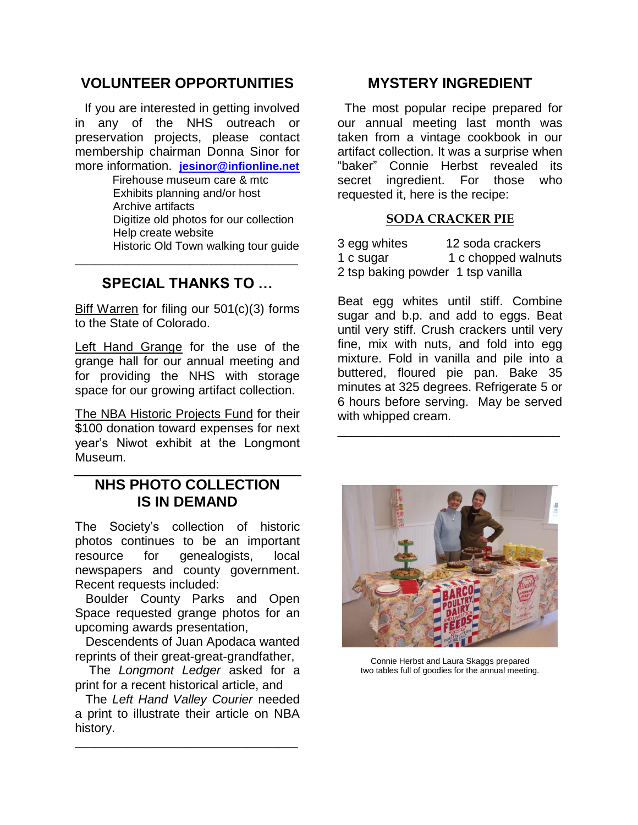# **VOLUNTEER OPPORTUNITIES**

 If you are interested in getting involved in any of the NHS outreach or preservation projects, please contact membership chairman Donna Sinor for more information. **[jesinor@infionline.net](mailto:jesinor@infionline.net)**

> Firehouse museum care & mtc Exhibits planning and/or host Archive artifacts Digitize old photos for our collection Help create website Historic Old Town walking tour guide

# **SPECIAL THANKS TO …**

\_\_\_\_\_\_\_\_\_\_\_\_\_\_\_\_\_\_\_\_\_\_\_\_\_\_\_\_\_\_\_\_\_\_\_

Biff Warren for filing our 501(c)(3) forms to the State of Colorado.

Left Hand Grange for the use of the grange hall for our annual meeting and for providing the NHS with storage space for our growing artifact collection.

The NBA Historic Projects Fund for their \$100 donation toward expenses for next year's Niwot exhibit at the Longmont Museum.

# **NHS PHOTO COLLECTION IS IN DEMAND**

The Society's collection of historic photos continues to be an important resource for genealogists, local newspapers and county government. Recent requests included:

 Boulder County Parks and Open Space requested grange photos for an upcoming awards presentation,

 Descendents of Juan Apodaca wanted reprints of their great-great-grandfather,

 The *Longmont Ledger* asked for a print for a recent historical article, and

 The *Left Hand Valley Courier* needed a print to illustrate their article on NBA history.

\_\_\_\_\_\_\_\_\_\_\_\_\_\_\_\_\_\_\_\_\_\_\_\_\_\_\_\_\_\_\_\_\_\_\_

## **MYSTERY INGREDIENT**

 The most popular recipe prepared for our annual meeting last month was taken from a vintage cookbook in our artifact collection. It was a surprise when "baker" Connie Herbst revealed its secret ingredient. For those who requested it, here is the recipe:

#### **SODA CRACKER PIE**

| 3 egg whites                      | 12 soda crackers    |
|-----------------------------------|---------------------|
| 1 c sugar                         | 1 c chopped walnuts |
| 2 tsp baking powder 1 tsp vanilla |                     |

Beat egg whites until stiff. Combine sugar and b.p. and add to eggs. Beat until very stiff. Crush crackers until very fine, mix with nuts, and fold into egg mixture. Fold in vanilla and pile into a buttered, floured pie pan. Bake 35 minutes at 325 degrees. Refrigerate 5 or 6 hours before serving. May be served with whipped cream.

\_\_\_\_\_\_\_\_\_\_\_\_\_\_\_\_\_\_\_\_\_\_\_\_\_\_\_\_\_\_\_\_



Connie Herbst and Laura Skaggs prepared two tables full of goodies for the annual meeting.